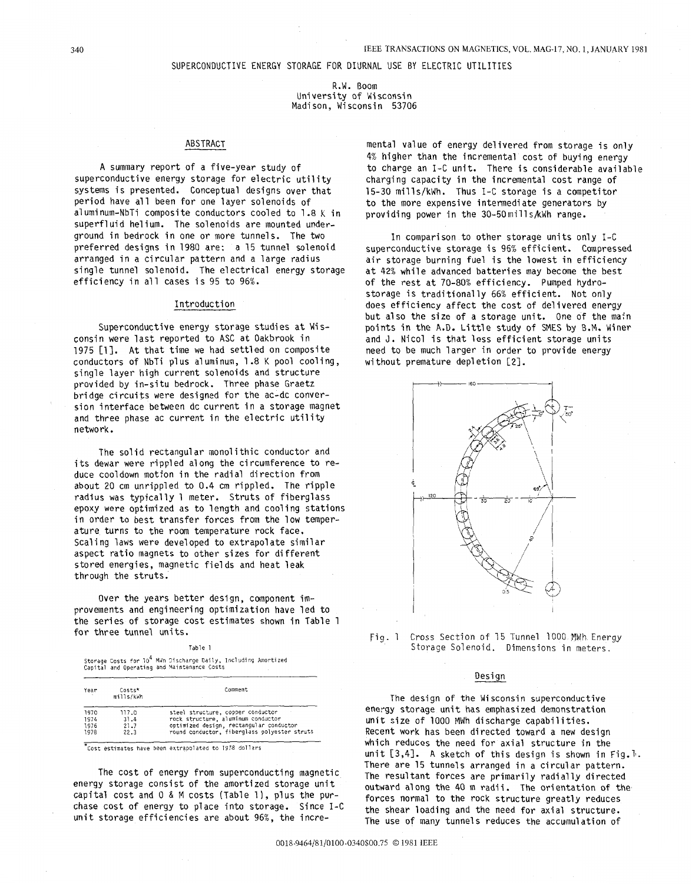### SUPERCONDUCTIVE ENERGY STORAGE FOR DIURNAL USE BY ELECTRIC UTILITIES

R.W. Boom University of Wisconsin Madison, Wisconsin 53706

## ABSTRACT

<sup>A</sup>summary report of a five-year study of superconductive energy storage for electric utility systems is presented. Conceptual designs over that period have all been for one layer solenoids of a1 umi num-NbTi composite conductors cooled to 1.8 K in superfluid helium. The solenoids are mounted underground in bedrock in one or more tunnels. The two preferred designs in 1980 are: a 15 tunnel solenoid arranged in a circular pattern and a large radius single tunnel solenoid. The electrical energy storage efficiency in all cases is 95 to 96%.

## Introduction

Superconductive energy storage studies at Wisconsin were last reported to ASC at Oakbrook in 1975 [l]. At that time we had settled on composite conductors of NbTi plus a1 uminum, 1.8 K pool cooling , single layer high current solenoids and structure provided by in-situ bedrock. Three phase Graetz bridge circuits were designed for the ac-dc conversion interface between dc current in a storage magnet and three phase ac current in the electric utility network.

The solid rectangular monolithic conductor and its dewar were rippled along the circumference to reduce cooldown motion in the radial direction from about 20 cm unrippled to 0.4 cm rippled. The ripple radius was typically 1 meter. Struts of fiberglass epoxy were optimized as to length and cooling stations in order to best transfer forces from the low temperature turns to the room temperature rock face. Scaling laws were developed to extrapolate similar aspect ratio magnets to other sizes for different stored energies, magnetic fields and heat leak through the struts.

Over the years better design, component improvements and engineering optimization have led to the series of storage cost estimates shown in Table 1 for three tunnel units.

Table 1

Storage Costs for 10<sup>4</sup> MWh Discharge Daily, Including Amortized<br>Capital and Operating and Maintenance Costs

| Year | Costs*<br>mills/kWh | Comment                                      |
|------|---------------------|----------------------------------------------|
| 1970 | 117.0               | steel structure, copper conductor            |
| 1974 | 31.4                | rock structure, aluminum conductor           |
| 1976 | 21.7                | optimized design, rectangular conductor      |
| 1978 | 22.3                | round conductor, fiberglass polyester struts |

-Cost estimates have been extrapolated to 1978 dollars

The cost of energy from superconducting magnetic energy storage consist of the amortized storage unit capital cost and 0 & M costs (Table 1), plus the purchase cost of energy to place into storage. Since I-C unit storage efficiencies are about 96%, the incre-

mental value of energy delivered from storage is only 4% higher than the incremental cost of buying energy to charge an I-C unit. There is considerable available charging capacity in the incremental cost range of 15-30 mills/kWh. Thus I-C storage is a competitor to the more expensive intermediate generators by providing power in the 30-5DmillskWh range.

In comparison to other storage units only I-C superconductive storage is 96% efficient. Compressed air storage burning fuel is the lowest in efficiency at 42% while advanced batteries may become the best of the rest at 70-80% efficiency. Pumped hydrostorage is traditionally 66% efficient. Not only does efficiency affect the cost of delivered energy but also the size of a storage unit. One of the main points in the **A.D.** Little study of SMES **by** B.M. Miner and J. Nicol is that less efficient storage units need to be much larger in order to provide energy without premature depletion [2].



Fig. 1 Cross Section of 15 Tunnel 1000 MWh Energy Storage Solenoid. Dimensions in meters.

## Design

The design of the Wisconsin superconductive energy storage unit has emphasized demonstration unit size of 1000 MWh discharge capabilities. Recent work has been directed toward a new design which reduces the need for axial structure in the unit [3,4]. A sketch of this design is shown in Fig.<sup>1</sup>. There are 15 tunnels arranged in a circular pattern. The resultant forces are primarily radially directed outward along the 40 m radii. The orientation of the forces normal to the rock structure greatly reduces the shear loading and the need for axial structure. The use of many tunnels reduces the accumulation of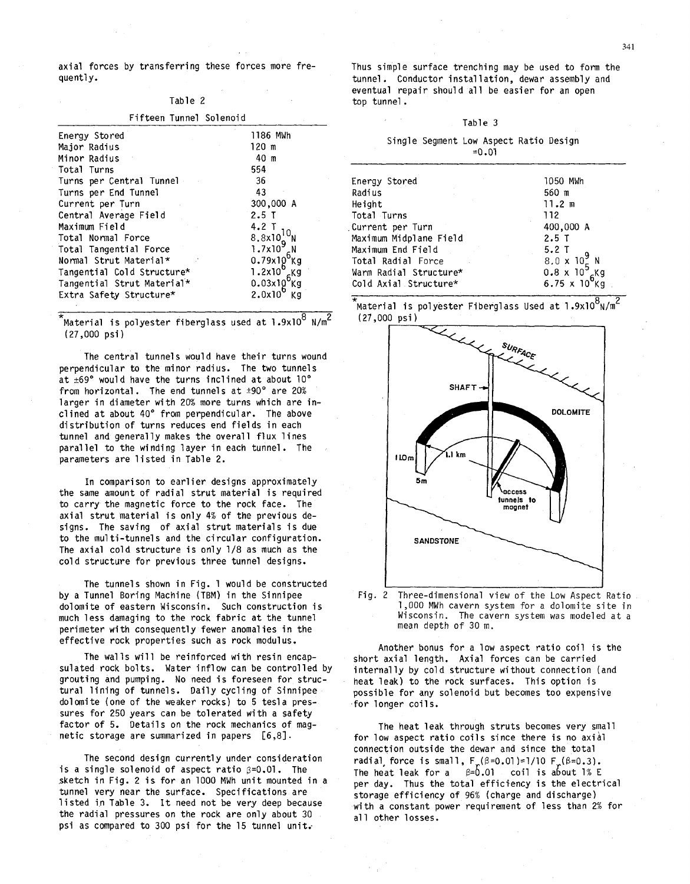axial forces by transferring these forces more frequently.

# Table 2

| Fifteen Tunnel Solenoid    |                                                                                                                       |
|----------------------------|-----------------------------------------------------------------------------------------------------------------------|
| Energy Stored              | 1186 MWh                                                                                                              |
| Major Radius               | 120 m                                                                                                                 |
| Minor Radius               | 40 m                                                                                                                  |
| Total Turns                | 554                                                                                                                   |
| Turns per Central Tunnel   | 36                                                                                                                    |
| Turns per End Tunnel       | 43                                                                                                                    |
| Current per Turn           | 300,000 A                                                                                                             |
| Central Average Field      | $2.5$ T                                                                                                               |
| Maximum Field              | $4.2$ T                                                                                                               |
| Total Normal Force         |                                                                                                                       |
| Total Tangential Force     | $\frac{8.8\times10^{11}}{1.7\times10^{9}}$                                                                            |
| Normal Strut Material*     |                                                                                                                       |
| Tangential Cold Structure* |                                                                                                                       |
| Tangential Strut Material* |                                                                                                                       |
| Extra Safety Structure*    | $1.7x109$ N<br>0.79x10 <sup>6</sup> Kg<br>1.2x10 <sup>6</sup> Kg<br>0.03x10 <sup>6</sup> Kg<br>2.0x10 <sup>6</sup> Kg |
|                            |                                                                                                                       |

 $\mathrm{N}$ aterial is polyester fiberglass used at l.9x10 $^8$  N/m $^2$  $(27,000 \text{ psi})$ 

The central tunnels would have their turns wound perpendicular to the minor radius. The two tunnels at  $\pm 69^{\circ}$  would have the turns inclined at about 10° from horizontal. The end tunnels at  $\pm 90^{\circ}$  are 20% larger in diameter with 20% more turns which are inclined at about 40" from perpendicular. The above distribution of turns reduces end fields in each tunnel and generally makes the overall flux lines parallel to the winding layer in each tunnel. The parameters are listed in Table 2.

In comparison to earlier designs approximately the same amount of radial strut material is required to carry the magnetic force to the rock face. The axial strut material is only 4% of the previous designs. The saving of axial strut materials is due to the multi-tunnels and the circular configuration. The axial cold structure is only 1/8 as much as the cold structure for previous three tunnel designs.

The tunnels shown in Fig. 1 would be constructed by a Tunnel Boring Machine (TBM) in the Sinnipee dolomite of eastern Wisconsin. Such construction is much less damaging to the rock fabric at the tunnel perimeter with consequently fewer anomal ies in the effective rock properties such as rock modulus.

sulated rock bolts. Water inflow can be controlled by grouting and pumping. No need is foreseen for structural lining of tunnels. Daily cycling of Sinnipee dolomite (one of the weaker rocks) to 5 tesla pressures for 250 years can be tolerated with a safety factor of 5. Details on the rock mechanics of magnetic storage are summarized in papers **C6,81.**  The walls will be reinforced with resin encap-

The second design currently under consideration is a single solenoid of aspect ratio  $\beta = 0.01$ . The .sketch in Fig. 2 is for an 1000 MWh unit mounted in a tunnel very near the surface. Specifications are listed in Table 3. It need not be very deep because the radial pressures on the rock are only about 30 psi as compared to 300 psi for the 15 tunnel unit.

Thus simple surface trenching may be used to form the tunnel. Conductor instal lation, dewar assembly and eventual repair should all be easier for an open top tunnel .

# Table 3

|  | Single Segment Low Aspect Ratio Design |         |  |
|--|----------------------------------------|---------|--|
|  |                                        | $=0.01$ |  |

| Energy Stored          | 1050 MWh                                          |
|------------------------|---------------------------------------------------|
| Radius                 | 560 m                                             |
| Height                 | 11.2 m                                            |
| Total Turns            | 112                                               |
| Current per Turn,      | 400,000 A                                         |
| Maximum Midplane Field | $2.5$ T                                           |
| Maximum End Field      | 5.2T                                              |
| Total Radial Force     | $8.0 \times 10^{9}$ N                             |
| Warm Radial Structure* | $0.8 \times 10^5$ Kg<br>6.75 x 10 <sup>6</sup> Kg |
| Cold Axial Structure*  |                                                   |
|                        |                                                   |





Fig. 2 Three-dimensional view of the Low Aspect Ratio 1,000 MWh cavern system for a dolomite site in Wisconsin. The cavern system was modeled at a mean depth of 30 m.

Another bonus for a low aspect ratio coil is the short axial length. Axial forces can be carried internally by cold structure without connection (and heat leak) to the rock surfaces. This option is possible for any solenoid but becomes too expensive .for longer coils.

The heat leak through struts becomes very small for low aspect ratio coils since there is no axial connection outside the dewar and since the total radial force is small,  $F_{\nu}(\beta=0.01)=1/10$   $F_{\nu}(\beta=0.3)$ . The heat leak for a  $\beta=0.01$  coil is about 1% E per day. Thus the total efficiency is the electrical storage efficiency of 96% (charge and discharge) with a constant power requirement of less than 2% for all other losses.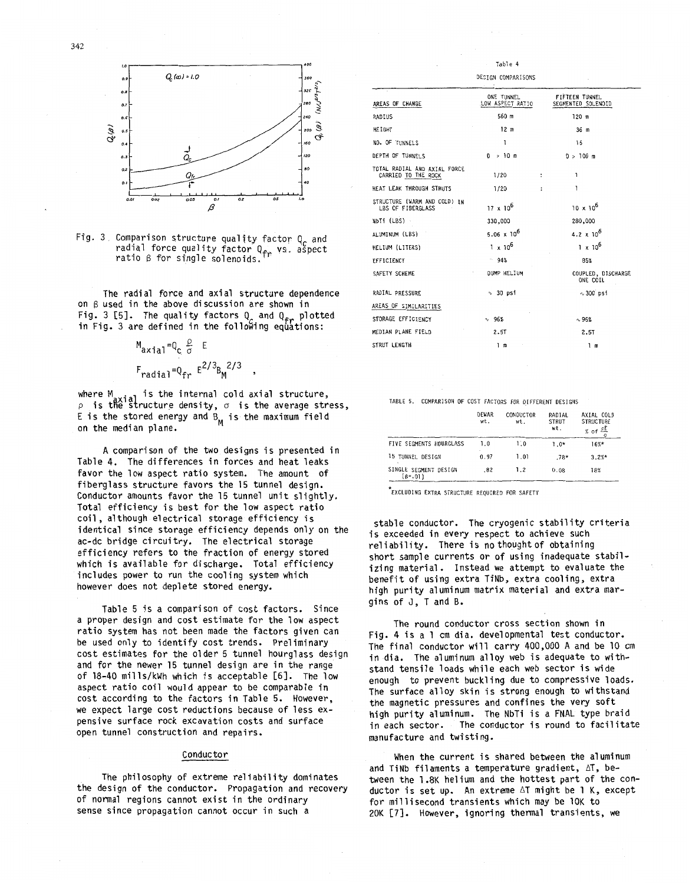



Fig. 3. Comparison structure quality factor  $Q_c$  and Comparison services your comparison comparison as reduced as reduced to  $\frac{1}{2}$  for single solenoids.

The radial force and axial structure dependence on B used in the above discussion are shown in Fig. 3 [5]. The quality factors  $Q_c$  and  $Q_{\epsilon r}$  plotted in Fig. 3 are defined in the following equations:

$$
M_{\text{axial}} = Q_{\text{c}} \frac{\rho}{\sigma} E
$$
  
 
$$
F_{\text{radial}} = Q_{\text{fr}} E^{2/3} B_{\text{M}}^{2/3}
$$

where M<sub>axial</sub> is the internal cold axial  $\mathcal{P}$  is the structure density,  $\sigma$  is the average stres E is the stored energy and  $B_M$  is the maximum field on the median plane.

A comparison of the two designs is presented in Table 4. The differences in forces and heat leaks favor the low aspect ratio system. The amount of fiberglass structure favors the 15 tunnel design. Conductor amounts favor the 15 tunnel unit slightly. Total efficiency is best for the low aspect ratio coil, although electrical storage efficiency is identical since storage efficiency depends only on the ac-dc bridge circuitry. The electrical storage efficiency refers to the fraction of energy stored which is available for discharge. Total efficiency includes power to run the cooling system which however does not deplete stored energy.

Table 5 is a comparison of cost factors. Since a proper design and cost estimate for the low aspect ratio system has not been made the factors given can be used only to identify cost trends. Preliminary cost estimates for the 01 der 5 tunnel hourglass design and for the newer 15 tunnel design are in the range of 18-40 mills/kWh which is acceptable [SI. The low aspect ratio coil would appear to be comparable in cost according to the factors in Table 5. However, we expect large cost reductions because of less expensive surface rock excavation costs and surface open tunnel construction and repairs.

### Conductor

The philosophy of extreme reliability dominates the design of the conductor. Propagation and recovery of normal regions cannot exist in the ordinary sense since propagation cannot occur in such a

|                                                     | DESIGN COMPARISONS             |                                      |
|-----------------------------------------------------|--------------------------------|--------------------------------------|
| AREAS OF CHANGE                                     | ONE TUNNEL<br>LOW ASPECT RATIO | FIFTEEN TUNNEL<br>SEGMENTED SOLENOID |
| RADIUS                                              | 560 m                          | $120$ m                              |
| <b>HEIGHT</b>                                       | 12 <sub>m</sub>                | 36 m                                 |
| NO. OF TUNNELS                                      | 1                              | 15                                   |
| DEPTH OF TUNNELS                                    | $0 \rightarrow 10 \text{ m}$   | $D > 100 \text{ m}$                  |
| TOTAL RADIAL AND AXIAL FORCE<br>CARRIED TO THE ROCK | 1/20                           | ١<br>$\ddot{\phantom{a}}$            |
| HEAT LEAK THROUGH STRUTS                            | 1/20                           | ī<br>$\ddot{\phantom{a}}$            |
| STRUCTURE (WARM AND COLD) IN<br>LBS OF FIBERGLASS   | $17 \times 10^{6}$             | $10 \times 10^{6}$                   |
| NbTi (LBS) -                                        | 330,000                        | 280,000                              |
| ALUMINUM (LBS)                                      | 5.06 $\times$ 10 <sup>6</sup>  | 4.2 $\times 10^6$                    |
| HELIUM (LITERS)                                     | $1 \times 10^6$                | $1 \times 10^5$                      |
| EFFICIENCY                                          | $-94%$                         | 85%                                  |
| SAFETY SCHEME                                       | DUMP HELIUM                    | COUPLED, DISCHARGE<br>ONE COIL       |
| RADIAL PRESSURE                                     | $\sim$ 30 psi                  | $\sim$ 300 psi                       |
| AREAS OF SIMILARITIES                               |                                |                                      |
| STORAGE EFFICIENCY                                  | $\sim$ 96%                     | $\sim$ 96%                           |
| MEDIAN PLANE FIELD                                  | 2.5T                           | 2.5T                                 |
| STRUT LENGTH                                        | 1 ຓ                            | 1 m                                  |
|                                                     |                                |                                      |

Table **4** 

TABLE 5. COMPARISON OF COST FACTORS FOR DIFFERENT DESIGNS

|                                    | DEWAR<br>wt. | CONDUCTOR<br>wt. | RADIAL<br><b>STRUT</b><br>wt. | AXIAL COLD<br><b>STRUCTURE</b><br>ρE<br>% of |
|------------------------------------|--------------|------------------|-------------------------------|----------------------------------------------|
| FIVE SEGMENTS HOURGLASS            | 1.0          | 1.0              | $1.0*$                        | $16%$ *                                      |
| 15 TUNNEL DESIGN                   | 0.97         | 1.01             | $.78*$                        | 3.2%                                         |
| SINGLE SEGMENT DESIGN<br>$(s=.01)$ | .82          | 1.2              | 0.08                          | 18%                                          |

EXCLUDING EXTRA STRUCTURE REQUIREU **FOR** SAFETY

stable conductor. The cryogenic stability criteria is exceeded in every respect to achieve such reliability. There is no thought of obtaining short sample currents or of using inadequate stabilizing material. Instead we attempt to evaluate the benefit of using extra TiNb, extra cooling, extra high purity aluminum matrix material and extra margins of J, T and B.

The round conductor cross section shown in Fig. **4** is a 1 cm dia. developmental test conductor. The final conductor will carry 400,000 A and be 10 cm in dia. The aluminum alloy web is adequate to withstand tensile loads while each web sector is wide enough to prevent buckling due to compressive loads. The surface alloy skin is strong enough to withstand the magnetic pressures and confines the very soft high purity a1 uminum. The NbTi is a FNAL type braid in each sector. The conductor is round to facilitate manufacture and twisting.

When the current is shared between the aluminum and TiNb filaments a temperature gradient, AT, between the l **.8K** helium and the hottest part of the conductor is set up. An extreme AT might be 1 K, except for millisecond transients which may be 10K to 20K [7]. However, ignoring thermal transients, we